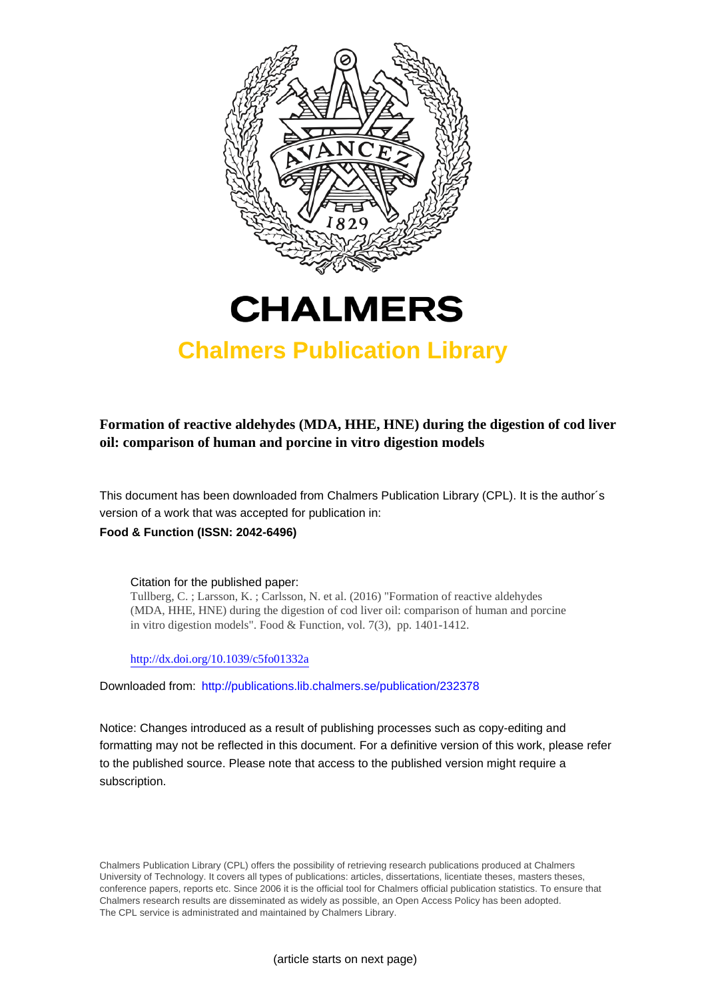



# **Chalmers Publication Library**

## **Formation of reactive aldehydes (MDA, HHE, HNE) during the digestion of cod liver oil: comparison of human and porcine in vitro digestion models**

This document has been downloaded from Chalmers Publication Library (CPL). It is the author´s version of a work that was accepted for publication in:

### **Food & Function (ISSN: 2042-6496)**

Citation for the published paper: Tullberg, C. ; Larsson, K. ; Carlsson, N. et al. (2016) "Formation of reactive aldehydes (MDA, HHE, HNE) during the digestion of cod liver oil: comparison of human and porcine in vitro digestion models". Food & Function, vol. 7(3), pp. 1401-1412.

<http://dx.doi.org/10.1039/c5fo01332a>

Downloaded from: <http://publications.lib.chalmers.se/publication/232378>

Notice: Changes introduced as a result of publishing processes such as copy-editing and formatting may not be reflected in this document. For a definitive version of this work, please refer to the published source. Please note that access to the published version might require a subscription.

Chalmers Publication Library (CPL) offers the possibility of retrieving research publications produced at Chalmers University of Technology. It covers all types of publications: articles, dissertations, licentiate theses, masters theses, conference papers, reports etc. Since 2006 it is the official tool for Chalmers official publication statistics. To ensure that Chalmers research results are disseminated as widely as possible, an Open Access Policy has been adopted. The CPL service is administrated and maintained by Chalmers Library.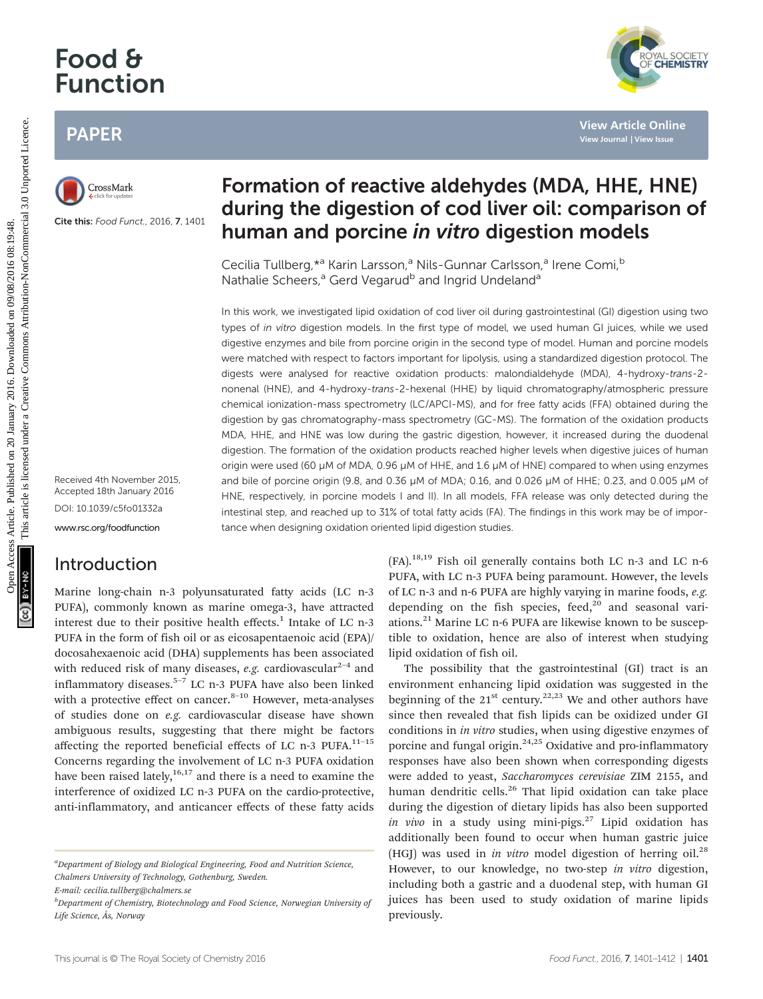# Food & Function

## PAPER



Cite this: Food Funct., 2016, 7, 1401

Received 4th November 2015, Accepted 18th January 2016 DOI: 10.1039/c5fo01332a <www.rsc.org/foodfunction>

## Introduction

Marine long-chain n-3 polyunsaturated fatty acids (LC n-3 PUFA), commonly known as marine omega-3, have attracted interest due to their positive health effects.<sup>1</sup> Intake of LC n-3 PUFA in the form of fish oil or as eicosapentaenoic acid (EPA)/ docosahexaenoic acid (DHA) supplements has been associated with reduced risk of many diseases, e.g. cardiovascular<sup>2-4</sup> and inflammatory diseases.5–<sup>7</sup> LC n-3 PUFA have also been linked with a protective effect on cancer. $8-10$  However, meta-analyses of studies done on e.g. cardiovascular disease have shown ambiguous results, suggesting that there might be factors affecting the reported beneficial effects of LC n-3 PUFA. $^{11-15}$ Concerns regarding the involvement of LC n-3 PUFA oxidation have been raised lately,  $16,17$  and there is a need to examine the interference of oxidized LC n-3 PUFA on the cardio-protective, anti-inflammatory, and anticancer effects of these fatty acids

<sup>a</sup>Department of Biology and Biological Engineering, Food and Nutrition Science, Chalmers University of Technology, Gothenburg, Sweden.

E-mail: cecilia.tullberg@chalmers.se

<sup>b</sup>Department of Chemistry, Biotechnology and Food Science, Norwegian University of Life Science, Ås, Norway

## Formation of reactive aldehydes (MDA, HHE, HNE) during the digestion of cod liver oil: comparison of human and porcine in vitro digestion models

Cecilia Tullberg, \*<sup>a</sup> Karin Larsson,<sup>a</sup> Nils-Gunnar Carlsson,<sup>a</sup> Irene Comi,<sup>b</sup> Nathalie Scheers,<sup>a</sup> Gerd Vegarud<sup>b</sup> and Ingrid Undeland<sup>a</sup>

In this work, we investigated lipid oxidation of cod liver oil during gastrointestinal (GI) digestion using two types of in vitro digestion models. In the first type of model, we used human GI juices, while we used digestive enzymes and bile from porcine origin in the second type of model. Human and porcine models were matched with respect to factors important for lipolysis, using a standardized digestion protocol. The digests were analysed for reactive oxidation products: malondialdehyde (MDA), 4-hydroxy-trans-2 nonenal (HNE), and 4-hydroxy-trans-2-hexenal (HHE) by liquid chromatography/atmospheric pressure chemical ionization-mass spectrometry (LC/APCI-MS), and for free fatty acids (FFA) obtained during the digestion by gas chromatography-mass spectrometry (GC-MS). The formation of the oxidation products MDA, HHE, and HNE was low during the gastric digestion, however, it increased during the duodenal digestion. The formation of the oxidation products reached higher levels when digestive juices of human origin were used (60 µM of MDA, 0.96 µM of HHE, and 1.6 µM of HNE) compared to when using enzymes and bile of porcine origin (9.8, and 0.36 µM of MDA; 0.16, and 0.026 µM of HHE; 0.23, and 0.005 µM of HNE, respectively, in porcine models I and II). In all models, FFA release was only detected during the intestinal step, and reached up to 31% of total fatty acids (FA). The findings in this work may be of importance when designing oxidation oriented lipid digestion studies. PAPER<br>
Constants<br>
Constants<br>
Constants<br>
Constants<br>
Constants<br>
Constants<br>
Constants<br>
Constants<br>
Constants<br>
Constants<br>
Constants<br>
Constants<br>
Constants<br>
Constants<br>
Constants<br>
Constants<br>
Constants<br>
Constants<br>
Constants<br>
Const

 $(FA).<sup>18,19</sup>$  Fish oil generally contains both LC n-3 and LC n-6 PUFA, with LC n-3 PUFA being paramount. However, the levels of LC n-3 and n-6 PUFA are highly varying in marine foods, e.g. depending on the fish species, feed, $20$  and seasonal variations.<sup>21</sup> Marine LC n-6 PUFA are likewise known to be susceptible to oxidation, hence are also of interest when studying lipid oxidation of fish oil.

The possibility that the gastrointestinal (GI) tract is an environment enhancing lipid oxidation was suggested in the beginning of the  $21^{st}$  century.<sup>22,23</sup> We and other authors have since then revealed that fish lipids can be oxidized under GI conditions in in vitro studies, when using digestive enzymes of porcine and fungal origin.<sup>24,25</sup> Oxidative and pro-inflammatory responses have also been shown when corresponding digests were added to yeast, Saccharomyces cerevisiae ZIM 2155, and human dendritic cells.<sup>26</sup> That lipid oxidation can take place during the digestion of dietary lipids has also been supported in vivo in a study using mini-pigs.<sup>27</sup> Lipid oxidation has additionally been found to occur when human gastric juice (HGJ) was used in in vitro model digestion of herring oil.<sup>28</sup> However, to our knowledge, no two-step in vitro digestion, including both a gastric and a duodenal step, with human GI juices has been used to study oxidation of marine lipids previously.

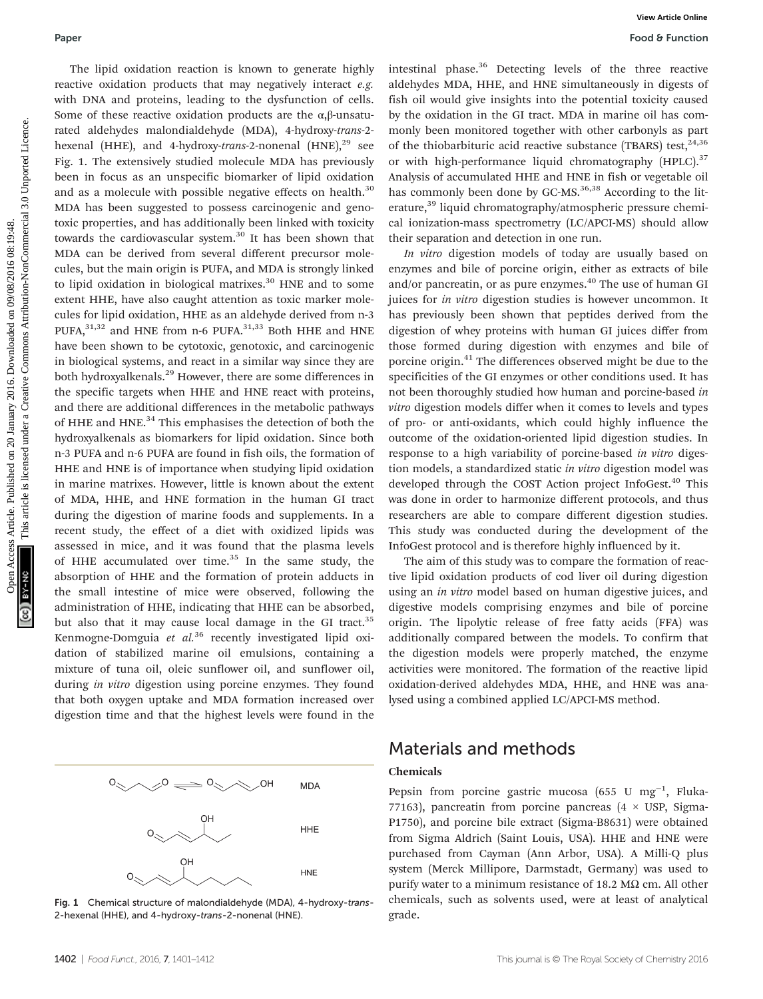The lipid oxidation reaction is known to generate highly reactive oxidation products that may negatively interact e.g. with DNA and proteins, leading to the dysfunction of cells. Some of these reactive oxidation products are the  $\alpha$ , $\beta$ -unsaturated aldehydes malondialdehyde (MDA), 4-hydroxy-trans-2 hexenal (HHE), and 4-hydroxy-trans-2-nonenal  $(HNE)$ ,  $^{29}$  see Fig. 1. The extensively studied molecule MDA has previously been in focus as an unspecific biomarker of lipid oxidation and as a molecule with possible negative effects on health.<sup>30</sup> MDA has been suggested to possess carcinogenic and genotoxic properties, and has additionally been linked with toxicity towards the cardiovascular system.<sup>30</sup> It has been shown that MDA can be derived from several different precursor molecules, but the main origin is PUFA, and MDA is strongly linked to lipid oxidation in biological matrixes. $30$  HNE and to some extent HHE, have also caught attention as toxic marker molecules for lipid oxidation, HHE as an aldehyde derived from n-3 PUFA, $31,32$  and HNE from n-6 PUFA. $31,33$  Both HHE and HNE have been shown to be cytotoxic, genotoxic, and carcinogenic in biological systems, and react in a similar way since they are both hydroxyalkenals.<sup>29</sup> However, there are some differences in the specific targets when HHE and HNE react with proteins, and there are additional differences in the metabolic pathways of HHE and HNE.<sup>34</sup> This emphasises the detection of both the hydroxyalkenals as biomarkers for lipid oxidation. Since both n-3 PUFA and n-6 PUFA are found in fish oils, the formation of HHE and HNE is of importance when studying lipid oxidation in marine matrixes. However, little is known about the extent of MDA, HHE, and HNE formation in the human GI tract during the digestion of marine foods and supplements. In a recent study, the effect of a diet with oxidized lipids was assessed in mice, and it was found that the plasma levels of HHE accumulated over time. $35$  In the same study, the absorption of HHE and the formation of protein adducts in the small intestine of mice were observed, following the administration of HHE, indicating that HHE can be absorbed, but also that it may cause local damage in the GI tract.<sup>35</sup> Kenmogne-Domguia et  $al.^{36}$  recently investigated lipid oxidation of stabilized marine oil emulsions, containing a mixture of tuna oil, oleic sunflower oil, and sunflower oil, during in vitro digestion using porcine enzymes. They found that both oxygen uptake and MDA formation increased over digestion time and that the highest levels were found in the Published on 20 January 2016. The published on 20 January 2016. None of the published on 2018. The published on 2018 and 10 January 2016. None in the published on 2018. The published on 2018 and 10 January 10 January 2016.



Fig. 1 Chemical structure of malondialdehyde (MDA), 4-hydroxy-trans-2-hexenal (HHE), and 4-hydroxy-trans-2-nonenal (HNE).

intestinal phase.36 Detecting levels of the three reactive aldehydes MDA, HHE, and HNE simultaneously in digests of fish oil would give insights into the potential toxicity caused by the oxidation in the GI tract. MDA in marine oil has commonly been monitored together with other carbonyls as part of the thiobarbituric acid reactive substance (TBARS) test,  $24,36$ or with high-performance liquid chromatography  $(HPLC)^{37}$ Analysis of accumulated HHE and HNE in fish or vegetable oil has commonly been done by  $GC$ -MS.<sup>36,38</sup> According to the literature,<sup>39</sup> liquid chromatography/atmospheric pressure chemical ionization-mass spectrometry (LC/APCI-MS) should allow their separation and detection in one run.

In vitro digestion models of today are usually based on enzymes and bile of porcine origin, either as extracts of bile and/or pancreatin, or as pure enzymes.<sup>40</sup> The use of human GI juices for *in vitro* digestion studies is however uncommon. It has previously been shown that peptides derived from the digestion of whey proteins with human GI juices differ from those formed during digestion with enzymes and bile of porcine origin.<sup>41</sup> The differences observed might be due to the specificities of the GI enzymes or other conditions used. It has not been thoroughly studied how human and porcine-based in vitro digestion models differ when it comes to levels and types of pro- or anti-oxidants, which could highly influence the outcome of the oxidation-oriented lipid digestion studies. In response to a high variability of porcine-based in vitro digestion models, a standardized static in vitro digestion model was developed through the COST Action project InfoGest.<sup>40</sup> This was done in order to harmonize different protocols, and thus researchers are able to compare different digestion studies. This study was conducted during the development of the InfoGest protocol and is therefore highly influenced by it.

The aim of this study was to compare the formation of reactive lipid oxidation products of cod liver oil during digestion using an *in vitro* model based on human digestive juices, and digestive models comprising enzymes and bile of porcine origin. The lipolytic release of free fatty acids (FFA) was additionally compared between the models. To confirm that the digestion models were properly matched, the enzyme activities were monitored. The formation of the reactive lipid oxidation-derived aldehydes MDA, HHE, and HNE was analysed using a combined applied LC/APCI-MS method.

## Materials and methods

#### Chemicals

Pepsin from porcine gastric mucosa (655 U mg<sup>-1</sup>, Fluka-77163), pancreatin from porcine pancreas  $(4 \times \text{USP}, \text{Sigma}$ P1750), and porcine bile extract (Sigma-B8631) were obtained from Sigma Aldrich (Saint Louis, USA). HHE and HNE were purchased from Cayman (Ann Arbor, USA). A Milli-Q plus system (Merck Millipore, Darmstadt, Germany) was used to purify water to a minimum resistance of 18.2 M $\Omega$  cm. All other chemicals, such as solvents used, were at least of analytical grade.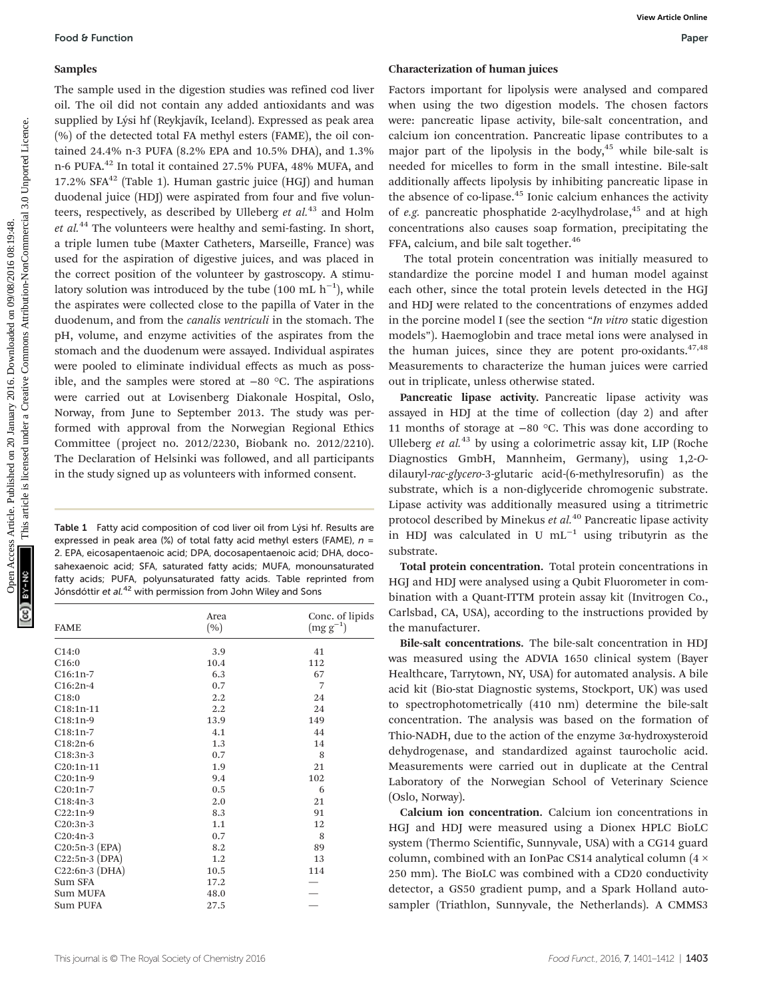#### Samples

The sample used in the digestion studies was refined cod liver oil. The oil did not contain any added antioxidants and was supplied by Lýsi hf (Reykjavík, Iceland). Expressed as peak area (%) of the detected total FA methyl esters (FAME), the oil contained 24.4% n-3 PUFA (8.2% EPA and 10.5% DHA), and 1.3% n-6 PUFA.42 In total it contained 27.5% PUFA, 48% MUFA, and 17.2%  $SFA^{42}$  (Table 1). Human gastric juice (HGJ) and human duodenal juice (HDJ) were aspirated from four and five volunteers, respectively, as described by Ulleberg et  $al$ .<sup>43</sup> and Holm  $et$  al.<sup>44</sup> The volunteers were healthy and semi-fasting. In short, a triple lumen tube (Maxter Catheters, Marseille, France) was used for the aspiration of digestive juices, and was placed in the correct position of the volunteer by gastroscopy. A stimulatory solution was introduced by the tube  $(100 \text{ mL h}^{-1})$ , while the aspirates were collected close to the papilla of Vater in the duodenum, and from the canalis ventriculi in the stomach. The pH, volume, and enzyme activities of the aspirates from the stomach and the duodenum were assayed. Individual aspirates were pooled to eliminate individual effects as much as possible, and the samples were stored at −80 °C. The aspirations were carried out at Lovisenberg Diakonale Hospital, Oslo, Norway, from June to September 2013. The study was performed with approval from the Norwegian Regional Ethics Committee (project no. 2012/2230, Biobank no. 2012/2210). The Declaration of Helsinki was followed, and all participants in the study signed up as volunteers with informed consent. **Food 8 Function**<br> **Sample used in the digestion staties was refined cod lier transcening for the sampled on 2018.<br>
The sample used in the staties are significantly are the contribution and the sample of the same formula** 

Table 1 Fatty acid composition of cod liver oil from Lýsi hf. Results are expressed in peak area (%) of total fatty acid methyl esters (FAME),  $n =$ 2. EPA, eicosapentaenoic acid; DPA, docosapentaenoic acid; DHA, docosahexaenoic acid; SFA, saturated fatty acids; MUFA, monounsaturated fatty acids; PUFA, polyunsaturated fatty acids. Table reprinted from Jónsdóttir et al.<sup>42</sup> with permission from John Wiley and Sons

| <b>FAME</b>      | Area<br>(%) | Conc. of lipids<br>$(mg g^{-1})$ |
|------------------|-------------|----------------------------------|
| C14:0            | 3.9         | 41                               |
| C16:0            | 10.4        | 112                              |
| $C16:1n-7$       | 6.3         | 67                               |
| $C16:2n-4$       | 0.7         | 7                                |
| C18:0            | 2.2         | 24                               |
| $C18:1n-11$      | 2.2         | 24                               |
| $C18:1n-9$       | 13.9        | 149                              |
| $C18:1n-7$       | 4.1         | 44                               |
| $C18:2n-6$       | 1.3         | 14                               |
| $C18:3n-3$       | 0.7         | 8                                |
| C20:1n-11        | 1.9         | 21                               |
| $C20:1n-9$       | 9.4         | 102                              |
| $C20:1n-7$       | 0.5         | 6                                |
| $C18:4n-3$       | 2.0         | 21                               |
| $C22:1n-9$       | 8.3         | 91                               |
| $C20:3n-3$       | 1.1         | 12                               |
| $C20:4n-3$       | 0.7         | 8                                |
| $C20:5n-3$ (EPA) | 8.2         | 89                               |
| $C22:5n-3$ (DPA) | 1.2         | 13                               |
| C22:6n-3 (DHA)   | 10.5        | 114                              |
| Sum SFA          | 17.2        |                                  |
| Sum MUFA         | 48.0        |                                  |
| Sum PUFA         | 27.5        |                                  |

#### Characterization of human juices

Factors important for lipolysis were analysed and compared when using the two digestion models. The chosen factors were: pancreatic lipase activity, bile-salt concentration, and calcium ion concentration. Pancreatic lipase contributes to a major part of the lipolysis in the body, $45$  while bile-salt is needed for micelles to form in the small intestine. Bile-salt additionally affects lipolysis by inhibiting pancreatic lipase in the absence of co-lipase. $45$  Ionic calcium enhances the activity of e.g. pancreatic phosphatide 2-acylhydrolase, $45$  and at high concentrations also causes soap formation, precipitating the FFA, calcium, and bile salt together.<sup>46</sup>

The total protein concentration was initially measured to standardize the porcine model I and human model against each other, since the total protein levels detected in the HGJ and HDJ were related to the concentrations of enzymes added in the porcine model I (see the section "In vitro static digestion models"). Haemoglobin and trace metal ions were analysed in the human juices, since they are potent pro-oxidants. $47,48$ Measurements to characterize the human juices were carried out in triplicate, unless otherwise stated.

Pancreatic lipase activity. Pancreatic lipase activity was assayed in HDJ at the time of collection (day 2) and after 11 months of storage at −80 °C. This was done according to Ulleberg et al.<sup>43</sup> by using a colorimetric assay kit, LIP (Roche Diagnostics GmbH, Mannheim, Germany), using 1,2-Odilauryl-rac-glycero-3-glutaric acid-(6-methylresorufin) as the substrate, which is a non-diglyceride chromogenic substrate. Lipase activity was additionally measured using a titrimetric protocol described by Minekus et  $al.^{40}$  Pancreatic lipase activity in HDJ was calculated in U mL<sup>-1</sup> using tributyrin as the substrate.

Total protein concentration. Total protein concentrations in HGJ and HDJ were analysed using a Qubit Fluorometer in combination with a Quant-ITTM protein assay kit (Invitrogen Co., Carlsbad, CA, USA), according to the instructions provided by the manufacturer.

Bile-salt concentrations. The bile-salt concentration in HDJ was measured using the ADVIA 1650 clinical system (Bayer Healthcare, Tarrytown, NY, USA) for automated analysis. A bile acid kit (Bio-stat Diagnostic systems, Stockport, UK) was used to spectrophotometrically (410 nm) determine the bile-salt concentration. The analysis was based on the formation of Thio-NADH, due to the action of the enzyme 3α-hydroxysteroid dehydrogenase, and standardized against taurocholic acid. Measurements were carried out in duplicate at the Central Laboratory of the Norwegian School of Veterinary Science (Oslo, Norway).

Calcium ion concentration. Calcium ion concentrations in HGJ and HDJ were measured using a Dionex HPLC BioLC system (Thermo Scientific, Sunnyvale, USA) with a CG14 guard column, combined with an IonPac CS14 analytical column (4 × 250 mm). The BioLC was combined with a CD20 conductivity detector, a GS50 gradient pump, and a Spark Holland autosampler (Triathlon, Sunnyvale, the Netherlands). A CMMS3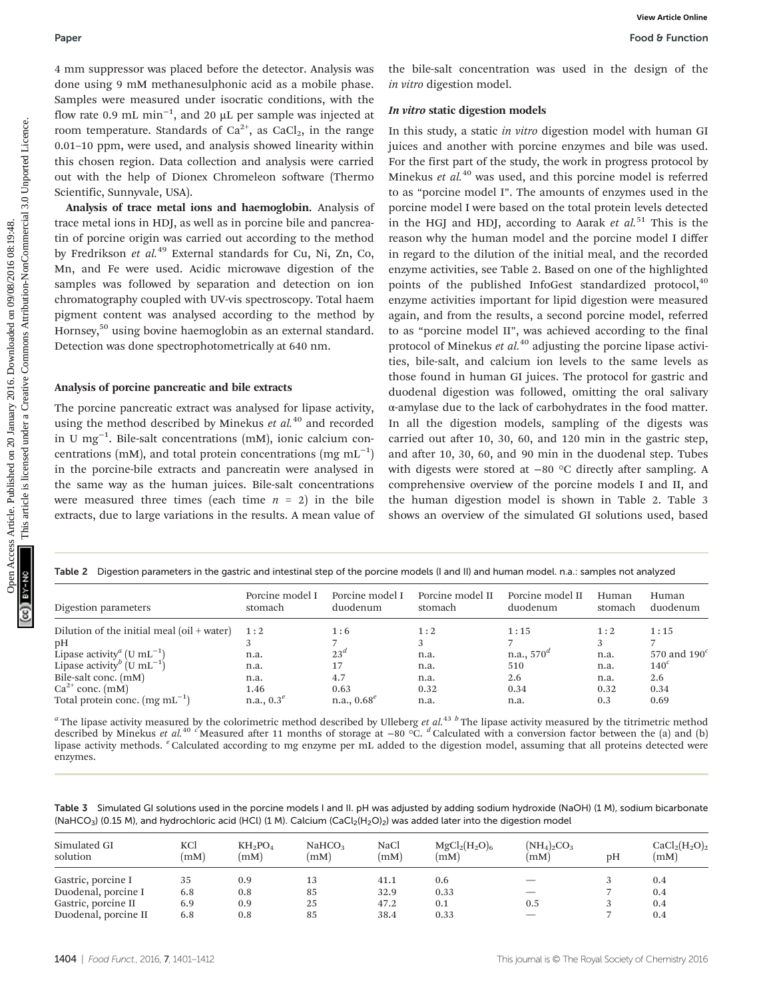4 mm suppressor was placed before the detector. Analysis was done using 9 mM methanesulphonic acid as a mobile phase. Samples were measured under isocratic conditions, with the flow rate 0.9 mL  $min^{-1}$ , and 20 µL per sample was injected at room temperature. Standards of  $Ca^{2+}$ , as  $CaCl<sub>2</sub>$ , in the range 0.01–10 ppm, were used, and analysis showed linearity within this chosen region. Data collection and analysis were carried out with the help of Dionex Chromeleon software (Thermo Scientific, Sunnyvale, USA).

Analysis of trace metal ions and haemoglobin. Analysis of trace metal ions in HDJ, as well as in porcine bile and pancreatin of porcine origin was carried out according to the method by Fredrikson et al.<sup>49</sup> External standards for Cu, Ni, Zn, Co, Mn, and Fe were used. Acidic microwave digestion of the samples was followed by separation and detection on ion chromatography coupled with UV-vis spectroscopy. Total haem pigment content was analysed according to the method by Hornsey,<sup>50</sup> using bovine haemoglobin as an external standard. Detection was done spectrophotometrically at 640 nm.

#### Analysis of porcine pancreatic and bile extracts

The porcine pancreatic extract was analysed for lipase activity, using the method described by Minekus et  $al$ <sup>40</sup> and recorded in U mg−<sup>1</sup> . Bile-salt concentrations (mM), ionic calcium concentrations (mM), and total protein concentrations (mg  $mL^{-1}$ ) in the porcine-bile extracts and pancreatin were analysed in the same way as the human juices. Bile-salt concentrations were measured three times (each time  $n = 2$ ) in the bile extracts, due to large variations in the results. A mean value of

the bile-salt concentration was used in the design of the in vitro digestion model.

#### In vitro static digestion models

In this study, a static in vitro digestion model with human GI juices and another with porcine enzymes and bile was used. For the first part of the study, the work in progress protocol by Minekus et  $al$ <sup>40</sup> was used, and this porcine model is referred to as "porcine model I". The amounts of enzymes used in the porcine model I were based on the total protein levels detected in the HGJ and HDJ, according to Aarak et  $al$ <sup>51</sup> This is the reason why the human model and the porcine model I differ in regard to the dilution of the initial meal, and the recorded enzyme activities, see Table 2. Based on one of the highlighted points of the published InfoGest standardized protocol,<sup>40</sup> enzyme activities important for lipid digestion were measured again, and from the results, a second porcine model, referred to as "porcine model II", was achieved according to the final protocol of Minekus et  $al$ .<sup>40</sup> adjusting the porcine lipase activities, bile-salt, and calcium ion levels to the same levels as those found in human GI juices. The protocol for gastric and duodenal digestion was followed, omitting the oral salivary α-amylase due to the lack of carbohydrates in the food matter. In all the digestion models, sampling of the digests was carried out after 10, 30, 60, and 120 min in the gastric step, and after 10, 30, 60, and 90 min in the duodenal step. Tubes with digests were stored at −80 °C directly after sampling. A comprehensive overview of the porcine models I and II, and the human digestion model is shown in Table 2. Table 3 shows an overview of the simulated GI solutions used, based Paper<br> **From 8 Papers**<br> **Constitution** and the state of the controlled on 2018. The controlled on 2018. The controlled on 2018, the state of the state of the state of the state of the state of the state of the state of the

| Digestion parameters in the gastric and intestinal step of the porcine models (I and II) and human model, n.a.: samples not analyzed<br>Table 2 |                            |                             |                             |                              |                  |                       |
|-------------------------------------------------------------------------------------------------------------------------------------------------|----------------------------|-----------------------------|-----------------------------|------------------------------|------------------|-----------------------|
| Digestion parameters                                                                                                                            | Porcine model I<br>stomach | Porcine model I<br>duodenum | Porcine model II<br>stomach | Porcine model II<br>duodenum | Human<br>stomach | Human<br>duodenum     |
| Dilution of the initial meal (oil $+$ water)                                                                                                    | 1:2                        | 1:6                         | 1:2                         | 1:15                         | 1:2              | 1:15                  |
| pН                                                                                                                                              |                            |                             |                             |                              |                  |                       |
| Lipase activity <sup><i>a</i></sup> (U mL <sup>-1</sup> )                                                                                       | n.a.                       | $23^{\mu}$                  | n.a.                        | n.a., $570^{\mu}$            | n.a.             | 570 and $190^{\circ}$ |
| Lipase activity <sup>b</sup> (U mL <sup>-1</sup> )                                                                                              | n.a.                       | 17                          | n.a.                        | 510                          | n.a.             | $140^{\circ}$         |
| Bile-salt conc. (mM)                                                                                                                            | n.a.                       | 4.7                         | n.a.                        | 2.6                          | n.a.             | 2.6                   |
| $Ca^{2+}$ conc. (mM)                                                                                                                            | 1.46                       | 0.63                        | 0.32                        | 0.34                         | 0.32             | 0.34                  |
| Total protein conc. $(mg \, mL^{-1})$                                                                                                           | n.a., $0.3^e$              | $n.a., 0.68^e$              | n.a.                        | n.a.                         | 0.3              | 0.69                  |

<sup>a</sup> The lipase activity measured by the colorimetric method described by Ulleberg et al.<sup>43</sup> b The lipase activity measured by the titrimetric method described by Minekus et al.<sup>40</sup> <sup>c</sup>Measured after 11 months of storage at −80 °C. <sup>d</sup> Calculated with a conversion factor between the (a) and (b) lipase activity methods. <sup>*e*</sup> Calculated according to mg enzyme per mL added to the digestion model, assuming that all proteins detected were enzymes.

Table 3 Simulated GI solutions used in the porcine models I and II. pH was adjusted by adding sodium hydroxide (NaOH) (1 M), sodium bicarbonate (NaHCO<sub>3</sub>) (0.15 M), and hydrochloric acid (HCl) (1 M). Calcium (CaCl<sub>2</sub>(H<sub>2</sub>O)<sub>2</sub>) was added later into the digestion model

| Simulated GI         | KCl  | $KH_2PO_4$ | NaHCO <sub>3</sub> | NaCl | $MgCl_2(H_2O)_6$ | $(NH_4)_2CO_3$ | pΗ | $CaCl2(H2O)2$ |
|----------------------|------|------------|--------------------|------|------------------|----------------|----|---------------|
| solution             | (mM) | (mM)       | (mM)               | (mM) | (mM)             | (mM)           |    | (mM)          |
| Gastric, porcine I   | 35   | 0.9        | 13                 | 41.1 | 0.6              |                |    | 0.4           |
| Duodenal, porcine I  | 6.8  | 0.8        | 85                 | 32.9 | 0.33             |                |    | 0.4           |
| Gastric, porcine II  | 6.9  | 0.9        | 25                 | 47.2 | 0.1              | 0.5            |    | 0.4           |
| Duodenal, porcine II | 6.8  | 0.8        | 85                 | 38.4 | 0.33             |                |    | 0.4           |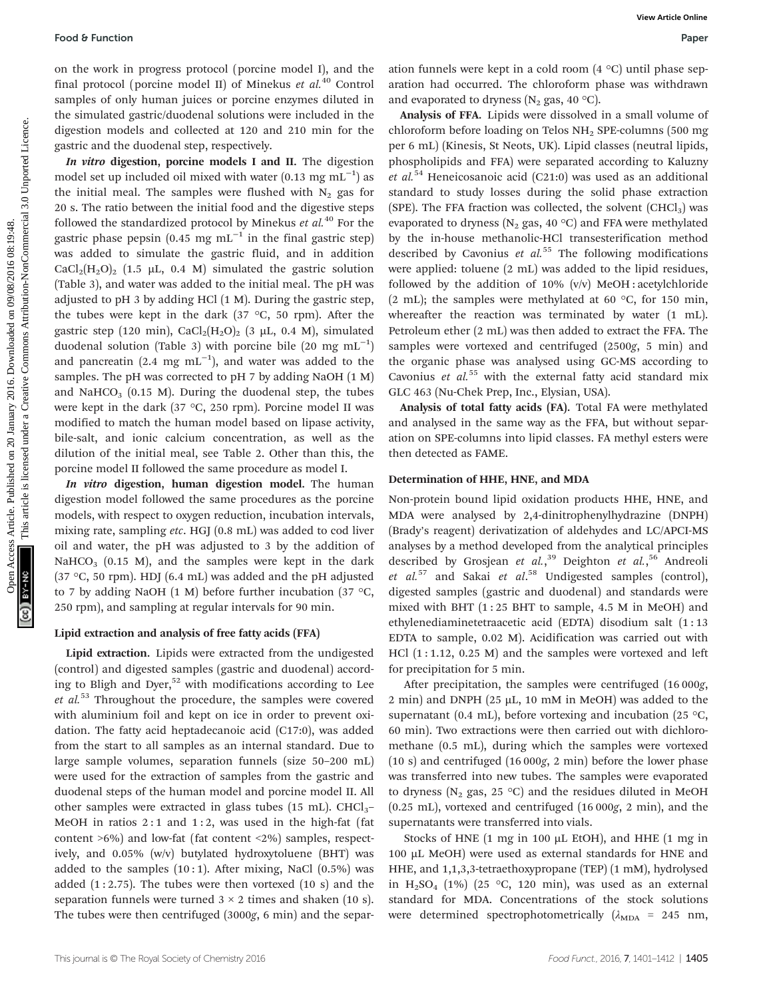on the work in progress protocol (porcine model I), and the final protocol (porcine model II) of Minekus et  $al^{40}$  Control samples of only human juices or porcine enzymes diluted in the simulated gastric/duodenal solutions were included in the digestion models and collected at 120 and 210 min for the gastric and the duodenal step, respectively.

In vitro digestion, porcine models I and II. The digestion model set up included oil mixed with water (0.13 mg mL<sup>-1</sup>) as the initial meal. The samples were flushed with  $N_2$  gas for 20 s. The ratio between the initial food and the digestive steps followed the standardized protocol by Minekus et  $al^{40}$  For the gastric phase pepsin (0.45 mg mL<sup> $-1$ </sup> in the final gastric step) was added to simulate the gastric fluid, and in addition  $CaCl<sub>2</sub>(H<sub>2</sub>O)<sub>2</sub>$  (1.5 µL, 0.4 M) simulated the gastric solution (Table 3), and water was added to the initial meal. The pH was adjusted to pH 3 by adding HCl (1 M). During the gastric step, the tubes were kept in the dark (37  $\degree$ C, 50 rpm). After the gastric step (120 min),  $CaCl<sub>2</sub>(H<sub>2</sub>O)<sub>2</sub>$  (3 µL, 0.4 M), simulated duodenal solution (Table 3) with porcine bile  $(20 \text{ mg } \text{mL}^{-1})$ and pancreatin (2.4 mg  $mL^{-1}$ ), and water was added to the samples. The pH was corrected to pH 7 by adding NaOH (1 M) and NaHCO<sub>3</sub> (0.15 M). During the duodenal step, the tubes were kept in the dark (37 °C, 250 rpm). Porcine model II was modified to match the human model based on lipase activity, bile-salt, and ionic calcium concentration, as well as the dilution of the initial meal, see Table 2. Other than this, the porcine model II followed the same procedure as model I. Food 8 Function<br>
on the workie Spinosed (portier model 1), and the strong article in the denoted of the simulation in the strong article in the strong article in the strong article in the strong article in the strong arti

In vitro digestion, human digestion model. The human digestion model followed the same procedures as the porcine models, with respect to oxygen reduction, incubation intervals, mixing rate, sampling etc. HGJ (0.8 mL) was added to cod liver oil and water, the pH was adjusted to 3 by the addition of NaHCO<sub>3</sub> (0.15 M), and the samples were kept in the dark (37 °C, 50 rpm). HDJ (6.4 mL) was added and the pH adjusted to 7 by adding NaOH (1 M) before further incubation (37  $\degree$ C, 250 rpm), and sampling at regular intervals for 90 min.

### Lipid extraction and analysis of free fatty acids (FFA)

Lipid extraction. Lipids were extracted from the undigested (control) and digested samples (gastric and duodenal) according to Bligh and Dyer,<sup>52</sup> with modifications according to Lee et  $al$ <sup>53</sup> Throughout the procedure, the samples were covered with aluminium foil and kept on ice in order to prevent oxidation. The fatty acid heptadecanoic acid (C17:0), was added from the start to all samples as an internal standard. Due to large sample volumes, separation funnels (size 50–200 mL) were used for the extraction of samples from the gastric and duodenal steps of the human model and porcine model II. All other samples were extracted in glass tubes (15 mL).  $CHCl<sub>3</sub>$ -MeOH in ratios 2:1 and 1:2, was used in the high-fat (fat content >6%) and low-fat (fat content <2%) samples, respectively, and 0.05% (w/v) butylated hydroxytoluene (BHT) was added to the samples  $(10:1)$ . After mixing, NaCl  $(0.5\%)$  was added  $(1:2.75)$ . The tubes were then vortexed  $(10 s)$  and the separation funnels were turned  $3 \times 2$  times and shaken (10 s). The tubes were then centrifuged (3000g, 6 min) and the separ-

ation funnels were kept in a cold room (4 °C) until phase separation had occurred. The chloroform phase was withdrawn and evaporated to dryness ( $N_2$  gas, 40 °C).

Analysis of FFA. Lipids were dissolved in a small volume of chloroform before loading on Telos NH2 SPE-columns (500 mg per 6 mL) (Kinesis, St Neots, UK). Lipid classes (neutral lipids, phospholipids and FFA) were separated according to Kaluzny et al.<sup>54</sup> Heneicosanoic acid (C21:0) was used as an additional standard to study losses during the solid phase extraction (SPE). The FFA fraction was collected, the solvent  $(CHCl<sub>3</sub>)$  was evaporated to dryness ( $N_2$  gas, 40 °C) and FFA were methylated by the in-house methanolic-HCl transesterification method described by Cavonius et  $al.55$  The following modifications were applied: toluene (2 mL) was added to the lipid residues, followed by the addition of 10%  $(v/v)$  MeOH : acetylchloride (2 mL); the samples were methylated at 60  $\degree$ C, for 150 min, whereafter the reaction was terminated by water (1 mL). Petroleum ether (2 mL) was then added to extract the FFA. The samples were vortexed and centrifuged (2500g, 5 min) and the organic phase was analysed using GC-MS according to Cavonius et  $al$ <sup>55</sup> with the external fatty acid standard mix GLC 463 (Nu-Chek Prep, Inc., Elysian, USA).

Analysis of total fatty acids (FA). Total FA were methylated and analysed in the same way as the FFA, but without separation on SPE-columns into lipid classes. FA methyl esters were then detected as FAME.

### Determination of HHE, HNE, and MDA

Non-protein bound lipid oxidation products HHE, HNE, and MDA were analysed by 2,4-dinitrophenylhydrazine (DNPH) (Brady's reagent) derivatization of aldehydes and LC/APCI-MS analyses by a method developed from the analytical principles described by Grosjean et al.,<sup>39</sup> Deighton et al.,<sup>56</sup> Andreoli et  $al.^{57}$  and Sakai et  $al.^{58}$  Undigested samples (control), digested samples (gastric and duodenal) and standards were mixed with BHT  $(1:25$  BHT to sample, 4.5 M in MeOH) and ethylenediaminetetraacetic acid (EDTA) disodium salt (1 : 13 EDTA to sample, 0.02 M). Acidification was carried out with HCl  $(1:1.12, 0.25 M)$  and the samples were vortexed and left for precipitation for 5 min.

After precipitation, the samples were centrifuged (16 000g, 2 min) and DNPH (25  $\mu$ L, 10 mM in MeOH) was added to the supernatant (0.4 mL), before vortexing and incubation (25  $\degree$ C, 60 min). Two extractions were then carried out with dichloromethane (0.5 mL), during which the samples were vortexed (10 s) and centrifuged (16 000g, 2 min) before the lower phase was transferred into new tubes. The samples were evaporated to dryness ( $N_2$  gas, 25 °C) and the residues diluted in MeOH (0.25 mL), vortexed and centrifuged (16 000g, 2 min), and the supernatants were transferred into vials.

Stocks of HNE (1 mg in 100 µL EtOH), and HHE (1 mg in 100 µL MeOH) were used as external standards for HNE and HHE, and 1,1,3,3-tetraethoxypropane (TEP) (1 mM), hydrolysed in H<sub>2</sub>SO<sub>4</sub> (1%) (25 °C, 120 min), was used as an external standard for MDA. Concentrations of the stock solutions were determined spectrophotometrically  $(\lambda_{MDA} = 245 \text{ nm})$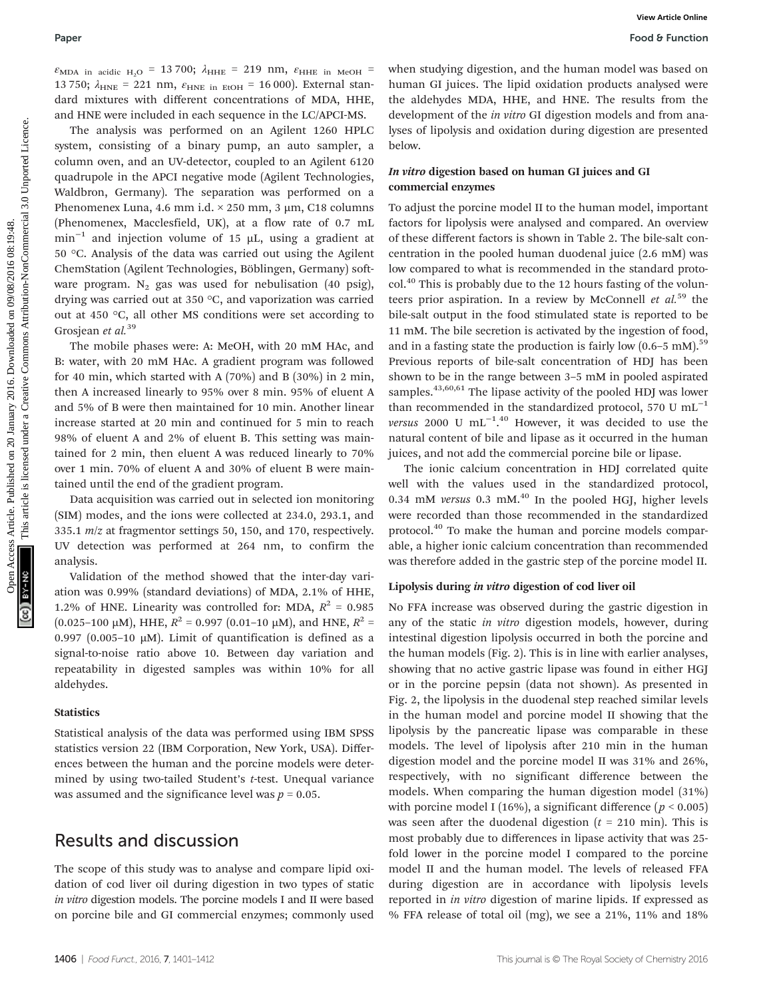$\varepsilon_{\text{MDA}}$  in acidic H<sub>2</sub>O = 13 700;  $\lambda_{\text{HHE}}$  = 219 nm,  $\varepsilon_{\text{HHE}}$  in MeOH = 13 750;  $\lambda_{HNE}$  = 221 nm,  $\varepsilon_{HNE}$  in EtOH = 16 000). External standard mixtures with different concentrations of MDA, HHE, and HNE were included in each sequence in the LC/APCI-MS.

The analysis was performed on an Agilent 1260 HPLC system, consisting of a binary pump, an auto sampler, a column oven, and an UV-detector, coupled to an Agilent 6120 quadrupole in the APCI negative mode (Agilent Technologies, Waldbron, Germany). The separation was performed on a Phenomenex Luna, 4.6 mm i.d. × 250 mm, 3 µm, C18 columns (Phenomenex, Macclesfield, UK), at a flow rate of 0.7 mL min<sup>-1</sup> and injection volume of 15  $\mu$ L, using a gradient at 50 °C. Analysis of the data was carried out using the Agilent ChemStation (Agilent Technologies, Böblingen, Germany) software program.  $N_2$  gas was used for nebulisation (40 psig), drying was carried out at 350 °C, and vaporization was carried out at 450 °C, all other MS conditions were set according to Grosjean et al.<sup>39</sup>

The mobile phases were: A: MeOH, with 20 mM HAc, and B: water, with 20 mM HAc. A gradient program was followed for 40 min, which started with A (70%) and B (30%) in 2 min, then A increased linearly to 95% over 8 min. 95% of eluent A and 5% of B were then maintained for 10 min. Another linear increase started at 20 min and continued for 5 min to reach 98% of eluent A and 2% of eluent B. This setting was maintained for 2 min, then eluent A was reduced linearly to 70% over 1 min. 70% of eluent A and 30% of eluent B were maintained until the end of the gradient program.

Data acquisition was carried out in selected ion monitoring (SIM) modes, and the ions were collected at 234.0, 293.1, and 335.1 m/z at fragmentor settings 50, 150, and 170, respectively. UV detection was performed at 264 nm, to confirm the analysis.

Validation of the method showed that the inter-day variation was 0.99% (standard deviations) of MDA, 2.1% of HHE, 1.2% of HNE. Linearity was controlled for: MDA,  $R^2 = 0.985$  $(0.025-100 \mu M)$ , HHE,  $R^2 = 0.997 (0.01-10 \mu M)$ , and HNE,  $R^2 =$ 0.997 (0.005-10  $\mu$ M). Limit of quantification is defined as a signal-to-noise ratio above 10. Between day variation and repeatability in digested samples was within 10% for all aldehydes.

#### **Statistics**

Statistical analysis of the data was performed using IBM SPSS statistics version 22 (IBM Corporation, New York, USA). Differences between the human and the porcine models were determined by using two-tailed Student's t-test. Unequal variance was assumed and the significance level was  $p = 0.05$ .

## Results and discussion

The scope of this study was to analyse and compare lipid oxidation of cod liver oil during digestion in two types of static in vitro digestion models. The porcine models I and II were based on porcine bile and GI commercial enzymes; commonly used

when studying digestion, and the human model was based on human GI juices. The lipid oxidation products analysed were the aldehydes MDA, HHE, and HNE. The results from the development of the in vitro GI digestion models and from analyses of lipolysis and oxidation during digestion are presented below.

#### In vitro digestion based on human GI juices and GI commercial enzymes

To adjust the porcine model II to the human model, important factors for lipolysis were analysed and compared. An overview of these different factors is shown in Table 2. The bile-salt concentration in the pooled human duodenal juice (2.6 mM) was low compared to what is recommended in the standard protocol.<sup>40</sup> This is probably due to the 12 hours fasting of the volunteers prior aspiration. In a review by McConnell et  $al$ <sup>59</sup> the bile-salt output in the food stimulated state is reported to be 11 mM. The bile secretion is activated by the ingestion of food, and in a fasting state the production is fairly low  $(0.6-5 \text{ mM})$ .<sup>59</sup> Previous reports of bile-salt concentration of HDJ has been shown to be in the range between 3–5 mM in pooled aspirated samples. $43,60,61$  The lipase activity of the pooled HDJ was lower than recommended in the standardized protocol, 570 U  $mL^{-1}$ versus 2000 U mL<sup>-1.40</sup> However, it was decided to use the natural content of bile and lipase as it occurred in the human juices, and not add the commercial porcine bile or lipase. Puper<br> **Form** Form  $\mu_0 = 1370k$ ,  $A_{\text{star}} = 219$  mm,  $F_{\text{star}} = 24$  mm,  $F_{\text{star}} = 24$  mm,  $F_{\text{star}} = 24$  mm,  $F_{\text{star}} = 24$  mm,  $F_{\text{star}} = 24$  mm,  $F_{\text{star}} = 24$  mm,  $F_{\text{star}} = 24$  mm,  $F_{\text{star}} = 24$  mm, and the article is licen

The ionic calcium concentration in HDJ correlated quite well with the values used in the standardized protocol, 0.34 mM versus 0.3 mM. $^{40}$  In the pooled HGJ, higher levels were recorded than those recommended in the standardized protocol.<sup>40</sup> To make the human and porcine models comparable, a higher ionic calcium concentration than recommended was therefore added in the gastric step of the porcine model II.

#### Lipolysis during in vitro digestion of cod liver oil

No FFA increase was observed during the gastric digestion in any of the static in vitro digestion models, however, during intestinal digestion lipolysis occurred in both the porcine and the human models (Fig. 2). This is in line with earlier analyses, showing that no active gastric lipase was found in either HGJ or in the porcine pepsin (data not shown). As presented in Fig. 2, the lipolysis in the duodenal step reached similar levels in the human model and porcine model II showing that the lipolysis by the pancreatic lipase was comparable in these models. The level of lipolysis after 210 min in the human digestion model and the porcine model II was 31% and 26%, respectively, with no significant difference between the models. When comparing the human digestion model (31%) with porcine model I (16%), a significant difference ( $p < 0.005$ ) was seen after the duodenal digestion  $(t = 210 \text{ min})$ . This is most probably due to differences in lipase activity that was 25 fold lower in the porcine model I compared to the porcine model II and the human model. The levels of released FFA during digestion are in accordance with lipolysis levels reported in in vitro digestion of marine lipids. If expressed as % FFA release of total oil (mg), we see a 21%, 11% and 18%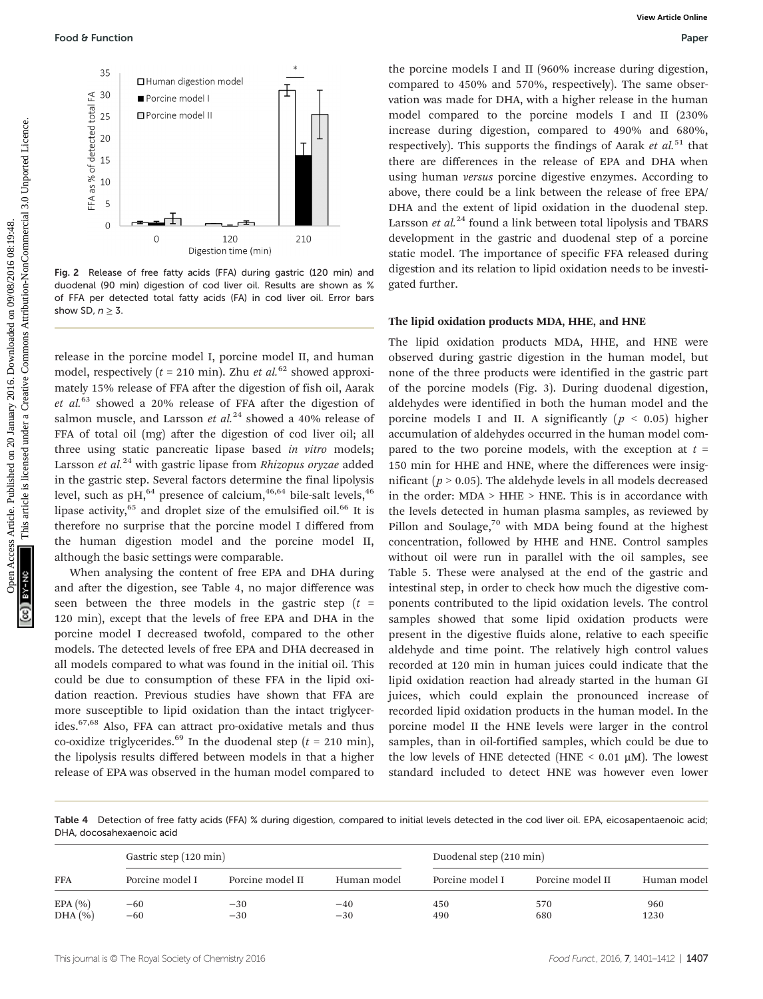

Fig. 2 Release of free fatty acids (FFA) during gastric (120 min) and duodenal (90 min) digestion of cod liver oil. Results are shown as % of FFA per detected total fatty acids (FA) in cod liver oil. Error bars show SD,  $n > 3$ .

release in the porcine model I, porcine model II, and human model, respectively ( $t = 210$  min). Zhu et al.<sup>62</sup> showed approximately 15% release of FFA after the digestion of fish oil, Aarak et  $al^{63}$  showed a 20% release of FFA after the digestion of salmon muscle, and Larsson et  $al.^{24}$  showed a 40% release of FFA of total oil (mg) after the digestion of cod liver oil; all three using static pancreatic lipase based in vitro models; Larsson et  $al.^{24}$  with gastric lipase from Rhizopus oryzae added in the gastric step. Several factors determine the final lipolysis level, such as  $\rm{pH}$ ,<sup>64</sup> presence of calcium,<sup>46,64</sup> bile-salt levels,<sup>46</sup> lipase activity, $65$  and droplet size of the emulsified oil. $66$  It is therefore no surprise that the porcine model I differed from the human digestion model and the porcine model II, although the basic settings were comparable.

When analysing the content of free EPA and DHA during and after the digestion, see Table 4, no major difference was seen between the three models in the gastric step  $(t =$ 120 min), except that the levels of free EPA and DHA in the porcine model I decreased twofold, compared to the other models. The detected levels of free EPA and DHA decreased in all models compared to what was found in the initial oil. This could be due to consumption of these FFA in the lipid oxidation reaction. Previous studies have shown that FFA are more susceptible to lipid oxidation than the intact triglycerides.67,68 Also, FFA can attract pro-oxidative metals and thus co-oxidize triglycerides.<sup>69</sup> In the duodenal step ( $t = 210$  min), the lipolysis results differed between models in that a higher release of EPA was observed in the human model compared to

the porcine models I and II (960% increase during digestion, compared to 450% and 570%, respectively). The same observation was made for DHA, with a higher release in the human model compared to the porcine models I and II (230% increase during digestion, compared to 490% and 680%, respectively). This supports the findings of Aarak et  $al$ <sup>51</sup> that there are differences in the release of EPA and DHA when using human versus porcine digestive enzymes. According to above, there could be a link between the release of free EPA/ DHA and the extent of lipid oxidation in the duodenal step. Larsson et  $al^{24}$  found a link between total lipolysis and TBARS development in the gastric and duodenal step of a porcine static model. The importance of specific FFA released during digestion and its relation to lipid oxidation needs to be investigated further.

#### The lipid oxidation products MDA, HHE, and HNE

The lipid oxidation products MDA, HHE, and HNE were observed during gastric digestion in the human model, but none of the three products were identified in the gastric part of the porcine models (Fig. 3). During duodenal digestion, aldehydes were identified in both the human model and the porcine models I and II. A significantly ( $p < 0.05$ ) higher accumulation of aldehydes occurred in the human model compared to the two porcine models, with the exception at  $t =$ 150 min for HHE and HNE, where the differences were insignificant ( $p > 0.05$ ). The aldehyde levels in all models decreased in the order:  $MDA > HHE > HNE$ . This is in accordance with the levels detected in human plasma samples, as reviewed by Pillon and Soulage, $70$  with MDA being found at the highest concentration, followed by HHE and HNE. Control samples without oil were run in parallel with the oil samples, see Table 5. These were analysed at the end of the gastric and intestinal step, in order to check how much the digestive components contributed to the lipid oxidation levels. The control samples showed that some lipid oxidation products were present in the digestive fluids alone, relative to each specific aldehyde and time point. The relatively high control values recorded at 120 min in human juices could indicate that the lipid oxidation reaction had already started in the human GI juices, which could explain the pronounced increase of recorded lipid oxidation products in the human model. In the porcine model II the HNE levels were larger in the control samples, than in oil-fortified samples, which could be due to the low levels of HNE detected (HNE  $\leq$  0.01  $\mu$ M). The lowest standard included to detect HNE was however even lower Food 8 Function<br>  $\frac{1}{2}$  Published on 2013<br>  $\frac{1}{2}$  Published on 2014<br>  $\frac{1}{2}$  Published on 2014<br>  $\frac{1}{2}$  Published on 2014<br>  $\frac{1}{2}$  Published on 2014<br>  $\frac{1}{2}$  Published on 2014<br>  $\frac{1}{2}$  Published on 2014<br>

Table 4 Detection of free fatty acids (FFA) % during digestion, compared to initial levels detected in the cod liver oil. EPA, eicosapentaenoic acid; DHA, docosahexaenoic acid

| Gastric step (120 min) |                 |                  |             | Duodenal step (210 min) |                  |             |  |
|------------------------|-----------------|------------------|-------------|-------------------------|------------------|-------------|--|
| <b>FFA</b>             | Porcine model I | Porcine model II | Human model | Porcine model I         | Porcine model II | Human model |  |
| EPA(%)                 | $-60$           | $-30$            | $-40$       | 450                     | 570              | 960         |  |
| DHA (%)                | $-60$           | $-30$            | $-30$       | 490                     | 680              | 1230        |  |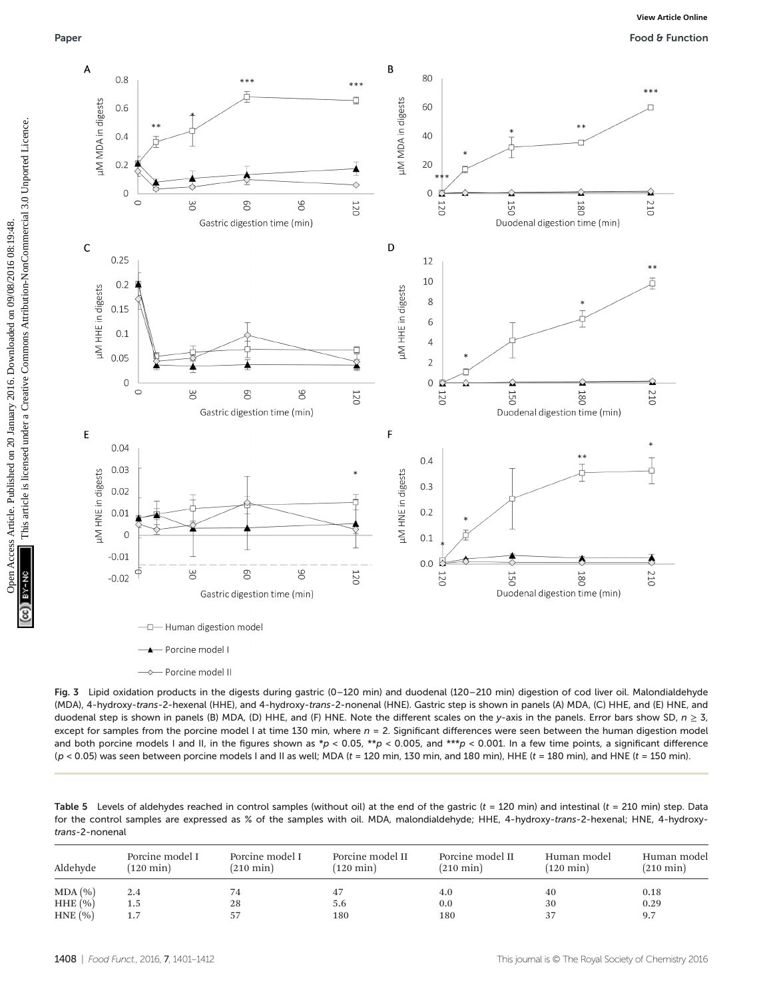Paper Food & Function



Fig. 3 Lipid oxidation products in the digests during gastric (0–120 min) and duodenal (120–210 min) digestion of cod liver oil. Malondialdehyde (MDA), 4-hydroxy-trans-2-hexenal (HHE), and 4-hydroxy-trans-2-nonenal (HNE). Gastric step is shown in panels (A) MDA, (C) HHE, and (E) HNE, and duodenal step is shown in panels (B) MDA, (D) HHE, and (F) HNE. Note the different scales on the y-axis in the panels. Error bars show SD,  $n \ge 3$ , except for samples from the porcine model I at time 130 min, where  $n = 2$ . Significant differences were seen between the human digestion model and both porcine models I and II, in the figures shown as \*p < 0.05, \*\*p < 0.005, and \*\*\*p < 0.001. In a few time points, a significant difference  $(p < 0.05)$  was seen between porcine models I and II as well; MDA (t = 120 min, 130 min, and 180 min), HHE (t = 180 min), and HNE (t = 150 min).

Table 5 Levels of aldehydes reached in control samples (without oil) at the end of the gastric ( $t = 120$  min) and intestinal ( $t = 210$  min) step. Data for the control samples are expressed as % of the samples with oil. MDA, malondialdehyde; HHE, 4-hydroxy-trans-2-hexenal; HNE, 4-hydroxytrans-2-nonenal

| Aldehyde      | Porcine model I<br>$(120 \text{ min})$ | Porcine model I<br>$(210 \text{ min})$ | Porcine model II<br>$(120 \text{ min})$ | Porcine model II<br>$(210 \text{ min})$ | Human model<br>$(120 \text{ min})$ | Human model<br>$(210 \text{ min})$ |
|---------------|----------------------------------------|----------------------------------------|-----------------------------------------|-----------------------------------------|------------------------------------|------------------------------------|
| MDA (%)       | 2.4                                    | 74                                     | 47                                      | 4.0                                     | 40                                 | 0.18                               |
| $HHE$ $(\% )$ | 1.5                                    | 28                                     | 5.6                                     | 0.0                                     | 30                                 | 0.29                               |
| HNE(%)        | 1.7                                    | 57                                     | 180                                     | 180                                     | 37                                 | 9.7                                |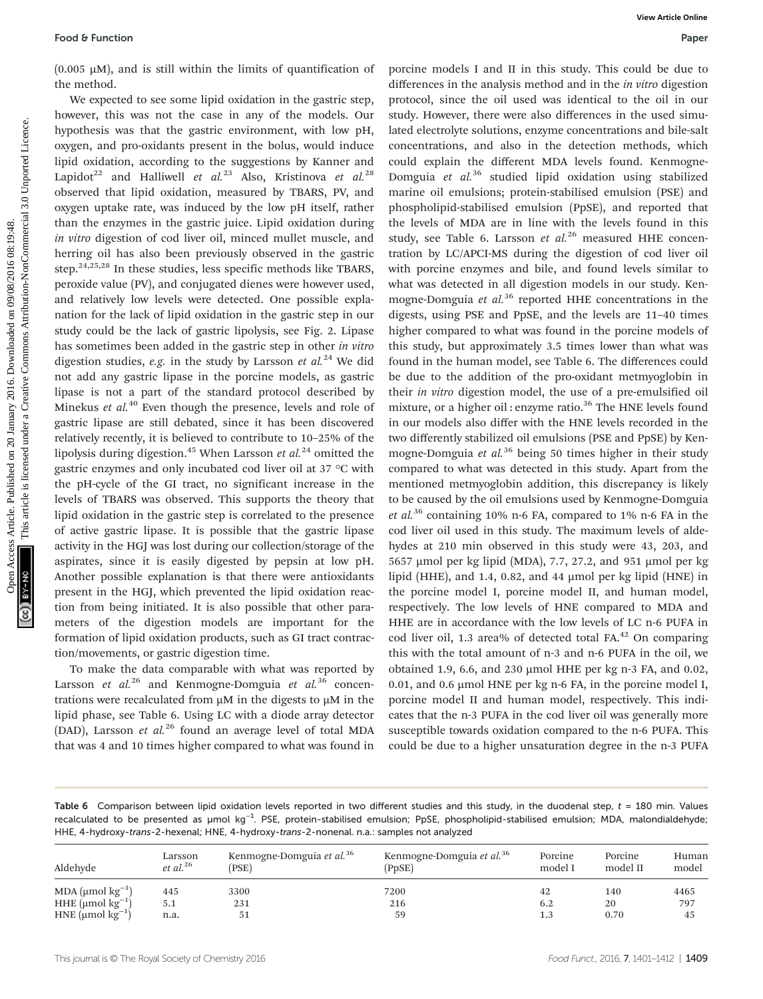$(0.005 \mu M)$ , and is still within the limits of quantification of the method.

We expected to see some lipid oxidation in the gastric step, however, this was not the case in any of the models. Our hypothesis was that the gastric environment, with low pH, oxygen, and pro-oxidants present in the bolus, would induce lipid oxidation, according to the suggestions by Kanner and Lapidot<sup>22</sup> and Halliwell et al.<sup>23</sup> Also, Kristinova et al.<sup>28</sup> observed that lipid oxidation, measured by TBARS, PV, and oxygen uptake rate, was induced by the low pH itself, rather than the enzymes in the gastric juice. Lipid oxidation during in vitro digestion of cod liver oil, minced mullet muscle, and herring oil has also been previously observed in the gastric step.<sup>24,25,28</sup> In these studies, less specific methods like TBARS, peroxide value (PV), and conjugated dienes were however used, and relatively low levels were detected. One possible explanation for the lack of lipid oxidation in the gastric step in our study could be the lack of gastric lipolysis, see Fig. 2. Lipase has sometimes been added in the gastric step in other in vitro digestion studies, e.g. in the study by Larsson et  $al^{24}$  We did not add any gastric lipase in the porcine models, as gastric lipase is not a part of the standard protocol described by Minekus et  $al$ <sup>40</sup> Even though the presence, levels and role of gastric lipase are still debated, since it has been discovered relatively recently, it is believed to contribute to 10–25% of the lipolysis during digestion.<sup>45</sup> When Larsson et  $al.^{24}$  omitted the gastric enzymes and only incubated cod liver oil at 37 °C with the pH-cycle of the GI tract, no significant increase in the levels of TBARS was observed. This supports the theory that lipid oxidation in the gastric step is correlated to the presence of active gastric lipase. It is possible that the gastric lipase activity in the HGJ was lost during our collection/storage of the aspirates, since it is easily digested by pepsin at low pH. Another possible explanation is that there were antioxidants present in the HGJ, which prevented the lipid oxidation reaction from being initiated. It is also possible that other parameters of the digestion models are important for the formation of lipid oxidation products, such as GI tract contraction/movements, or gastric digestion time.

To make the data comparable with what was reported by Larsson et  $al^{26}$  and Kenmogne-Domguia et  $al^{36}$  concentrations were recalculated from  $\mu$ M in the digests to  $\mu$ M in the lipid phase, see Table 6. Using LC with a diode array detector (DAD), Larsson et  $al^{26}$  found an average level of total MDA that was 4 and 10 times higher compared to what was found in

porcine models I and II in this study. This could be due to differences in the analysis method and in the *in vitro* digestion protocol, since the oil used was identical to the oil in our study. However, there were also differences in the used simulated electrolyte solutions, enzyme concentrations and bile-salt concentrations, and also in the detection methods, which could explain the different MDA levels found. Kenmogne-Domguia et  $al^{36}$  studied lipid oxidation using stabilized marine oil emulsions; protein-stabilised emulsion (PSE) and phospholipid-stabilised emulsion (PpSE), and reported that the levels of MDA are in line with the levels found in this study, see Table 6. Larsson et  $al^{26}$  measured HHE concentration by LC/APCI-MS during the digestion of cod liver oil with porcine enzymes and bile, and found levels similar to what was detected in all digestion models in our study. Kenmogne-Domguia et  $al^{36}$  reported HHE concentrations in the digests, using PSE and PpSE, and the levels are 11–40 times higher compared to what was found in the porcine models of this study, but approximately 3.5 times lower than what was found in the human model, see Table 6. The differences could be due to the addition of the pro-oxidant metmyoglobin in their in vitro digestion model, the use of a pre-emulsified oil mixture, or a higher oil : enzyme ratio.<sup>36</sup> The HNE levels found in our models also differ with the HNE levels recorded in the two differently stabilized oil emulsions (PSE and PpSE) by Kenmogne-Domguia et  $al.^{36}$  being 50 times higher in their study compared to what was detected in this study. Apart from the mentioned metmyoglobin addition, this discrepancy is likely to be caused by the oil emulsions used by Kenmogne-Domguia et al.<sup>36</sup> containing 10% n-6 FA, compared to 1% n-6 FA in the cod liver oil used in this study. The maximum levels of aldehydes at 210 min observed in this study were 43, 203, and 5657 µmol per kg lipid (MDA), 7.7, 27.2, and 951 µmol per kg lipid (HHE), and 1.4, 0.82, and 44 µmol per kg lipid (HNE) in the porcine model I, porcine model II, and human model, respectively. The low levels of HNE compared to MDA and HHE are in accordance with the low levels of LC n-6 PUFA in cod liver oil, 1.3 area% of detected total  $FA<sup>42</sup>$  On comparing this with the total amount of n-3 and n-6 PUFA in the oil, we obtained 1.9, 6.6, and 230 µmol HHE per kg n-3 FA, and 0.02, 0.01, and 0.6  $\mu$ mol HNE per kg n-6 FA, in the porcine model I, porcine model II and human model, respectively. This indicates that the n-3 PUFA in the cod liver oil was generally more susceptible towards oxidation compared to the n-6 PUFA. This could be due to a higher unsaturation degree in the n-3 PUFA Food 8 Function<br>
(0.005 JAA), and is still within the limits of quantification of poemic models 1 and 1 is miscle, with the gas article is like the state of the present of the present of the state of the state of the stat

Table 6 Comparison between lipid oxidation levels reported in two different studies and this study, in the duodenal step,  $t = 180$  min. Values recalculated to be presented as µmol kg<sup>−1</sup>. PSE, protein-stabilised emulsion; PpSE, phospholipid-stabilised emulsion; MDA, malondialdehyde; HHE, 4-hydroxy-trans-2-hexenal; HNE, 4-hydroxy-trans-2-nonenal. n.a.: samples not analyzed

| Aldehyde                           | Larsson<br>$et$ al. <sup>26</sup> | Kenmogne-Domguia et al. <sup>36</sup><br>(PSE) | Kenmogne-Domguia et al. <sup>36</sup><br>(PpSE) | Porcine<br>model I | Porcine<br>model II | Human<br>model |
|------------------------------------|-----------------------------------|------------------------------------------------|-------------------------------------------------|--------------------|---------------------|----------------|
| MDA ( $\mu$ mol $\text{kg}^{-1}$ ) | 445                               | 3300                                           | 7200                                            | 42                 | 140                 | 4465           |
| HHE ( $\mu$ mol $\text{kg}^{-1}$ ) | 5.1                               | 231                                            | 216                                             | 6.2                | 20                  | 797            |
| HNE $(\mu$ mol $kg^{-1})$          | n.a.                              | -51                                            | 59                                              | 1.3                | 0.70                | 45             |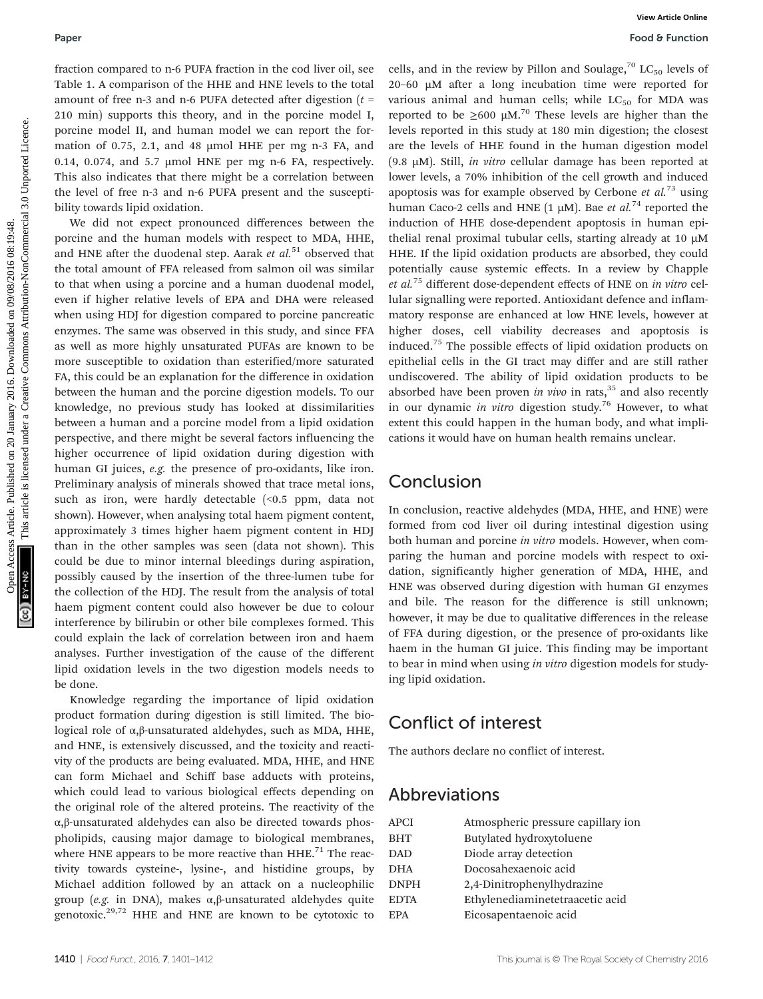fraction compared to n-6 PUFA fraction in the cod liver oil, see Table 1. A comparison of the HHE and HNE levels to the total amount of free n-3 and n-6 PUFA detected after digestion  $(t =$ 210 min) supports this theory, and in the porcine model I, porcine model II, and human model we can report the formation of 0.75, 2.1, and 48 µmol HHE per mg n-3 FA, and 0.14, 0.074, and 5.7 µmol HNE per mg n-6 FA, respectively. This also indicates that there might be a correlation between the level of free n-3 and n-6 PUFA present and the susceptibility towards lipid oxidation.

We did not expect pronounced differences between the porcine and the human models with respect to MDA, HHE, and HNE after the duodenal step. Aarak et  $al.^{51}$  observed that the total amount of FFA released from salmon oil was similar to that when using a porcine and a human duodenal model, even if higher relative levels of EPA and DHA were released when using HDJ for digestion compared to porcine pancreatic enzymes. The same was observed in this study, and since FFA as well as more highly unsaturated PUFAs are known to be more susceptible to oxidation than esterified/more saturated FA, this could be an explanation for the difference in oxidation between the human and the porcine digestion models. To our knowledge, no previous study has looked at dissimilarities between a human and a porcine model from a lipid oxidation perspective, and there might be several factors influencing the higher occurrence of lipid oxidation during digestion with human GI juices, e.g. the presence of pro-oxidants, like iron. Preliminary analysis of minerals showed that trace metal ions, such as iron, were hardly detectable (<0.5 ppm, data not shown). However, when analysing total haem pigment content, approximately 3 times higher haem pigment content in HDJ than in the other samples was seen (data not shown). This could be due to minor internal bleedings during aspiration, possibly caused by the insertion of the three-lumen tube for the collection of the HDJ. The result from the analysis of total haem pigment content could also however be due to colour interference by bilirubin or other bile complexes formed. This could explain the lack of correlation between iron and haem analyses. Further investigation of the cause of the different lipid oxidation levels in the two digestion models needs to be done.

Knowledge regarding the importance of lipid oxidation product formation during digestion is still limited. The biological role of α,β-unsaturated aldehydes, such as MDA, HHE, and HNE, is extensively discussed, and the toxicity and reactivity of the products are being evaluated. MDA, HHE, and HNE can form Michael and Schiff base adducts with proteins, which could lead to various biological effects depending on the original role of the altered proteins. The reactivity of the α,β-unsaturated aldehydes can also be directed towards phospholipids, causing major damage to biological membranes, where HNE appears to be more reactive than  $HHE<sup>71</sup>$  The reactivity towards cysteine-, lysine-, and histidine groups, by Michael addition followed by an attack on a nucleophilic group (e.g. in DNA), makes α,β-unsaturated aldehydes quite genotoxic.<sup>29,72</sup> HHE and HNE are known to be cytotoxic to

cells, and in the review by Pillon and Soulage,<sup>70</sup> LC<sub>50</sub> levels of 20–60 µM after a long incubation time were reported for various animal and human cells; while  $LC_{50}$  for MDA was reported to be  $\geq 600 \mu M^{70}$  These levels are higher than the levels reported in this study at 180 min digestion; the closest are the levels of HHE found in the human digestion model (9.8  $\mu$ M). Still, *in vitro* cellular damage has been reported at lower levels, a 70% inhibition of the cell growth and induced apoptosis was for example observed by Cerbone et  $al^{73}$  using human Caco-2 cells and HNE (1  $\mu$ M). Bae et al.<sup>74</sup> reported the induction of HHE dose-dependent apoptosis in human epithelial renal proximal tubular cells, starting already at 10 µM HHE. If the lipid oxidation products are absorbed, they could potentially cause systemic effects. In a review by Chapple et al.<sup>75</sup> different dose-dependent effects of HNE on in vitro cellular signalling were reported. Antioxidant defence and inflammatory response are enhanced at low HNE levels, however at higher doses, cell viability decreases and apoptosis is induced.75 The possible effects of lipid oxidation products on epithelial cells in the GI tract may differ and are still rather undiscovered. The ability of lipid oxidation products to be absorbed have been proven in vivo in rats,  $35$  and also recently in our dynamic in vitro digestion study.<sup>76</sup> However, to what extent this could happen in the human body, and what implications it would have on human health remains unclear. Paper<br> **Paper**<br>
The interview that the HTM-and 1Wh leads to the sign and a nonline and solar paper.<br>
This is a computed from the HTM-and 1Wh leads to the sign and a div air at low in the sign including<br>
model on 2016. The

## Conclusion

In conclusion, reactive aldehydes (MDA, HHE, and HNE) were formed from cod liver oil during intestinal digestion using both human and porcine in vitro models. However, when comparing the human and porcine models with respect to oxidation, significantly higher generation of MDA, HHE, and HNE was observed during digestion with human GI enzymes and bile. The reason for the difference is still unknown; however, it may be due to qualitative differences in the release of FFA during digestion, or the presence of pro-oxidants like haem in the human GI juice. This finding may be important to bear in mind when using in vitro digestion models for studying lipid oxidation.

## Conflict of interest

The authors declare no conflict of interest.

## Abbreviations

| APCI        | Atmospheric pressure capillary ion |
|-------------|------------------------------------|
| <b>BHT</b>  | Butylated hydroxytoluene           |
| DAD         | Diode array detection              |
| DHA         | Docosahexaenoic acid               |
| <b>DNPH</b> | 2,4-Dinitrophenylhydrazine         |
| <b>EDTA</b> | Ethylenediaminetetraacetic acid    |
| <b>EPA</b>  | Eicosapentaenoic acid              |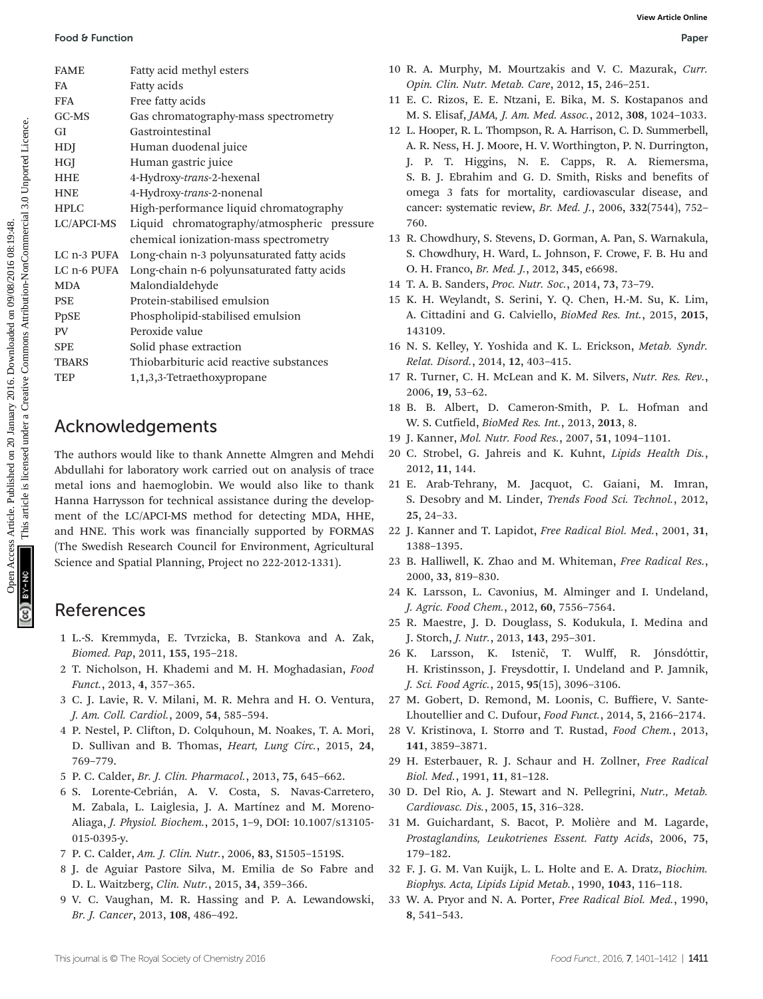|                                                                                                                                                                                                         |                                                                | View Article Online                                                               |
|---------------------------------------------------------------------------------------------------------------------------------------------------------------------------------------------------------|----------------------------------------------------------------|-----------------------------------------------------------------------------------|
| Food & Function                                                                                                                                                                                         |                                                                | Paper                                                                             |
| <b>FAME</b>                                                                                                                                                                                             | Fatty acid methyl esters                                       | 10 R. A. Murphy, M. Mourtzakis and V. C. Mazurak, Curr.                           |
| FA                                                                                                                                                                                                      | Fatty acids                                                    | Opin. Clin. Nutr. Metab. Care, 2012, 15, 246-251.                                 |
| <b>FFA</b>                                                                                                                                                                                              | Free fatty acids                                               | 11 E. C. Rizos, E. E. Ntzani, E. Bika, M. S. Kostapanos and                       |
| GC-MS                                                                                                                                                                                                   | Gas chromatography-mass spectrometry                           | M. S. Elisaf, JAMA, J. Am. Med. Assoc., 2012, 308, 1024-1033.                     |
| Open Access Article. Published on 20 January 2016. Downloaded on 09/08/2016 08:19:48.<br>You are a primarie in the internet of the active Commons Attribution-NonCommercial 3.0 Unported Licence.<br>GI | Gastrointestinal                                               | 12 L. Hooper, R. L. Thompson, R. A. Harrison, C. D. Summerbell                    |
| HDJ                                                                                                                                                                                                     | Human duodenal juice                                           | A. R. Ness, H. J. Moore, H. V. Worthington, P. N. Durrington                      |
| HGJ                                                                                                                                                                                                     | Human gastric juice                                            | J. P. T. Higgins, N. E. Capps, R. A. Riemersma                                    |
| <b>HHE</b>                                                                                                                                                                                              | 4-Hydroxy-trans-2-hexenal                                      | S. B. J. Ebrahim and G. D. Smith, Risks and benefits of                           |
| <b>HNE</b>                                                                                                                                                                                              | 4-Hydroxy-trans-2-nonenal                                      | omega 3 fats for mortality, cardiovascular disease, and                           |
| <b>HPLC</b>                                                                                                                                                                                             | High-performance liquid chromatography                         | cancer: systematic review, Br. Med. J., 2006, 332(7544), 752-                     |
| LC/APCI-MS                                                                                                                                                                                              | Liquid chromatography/atmospheric pressure                     | 760.                                                                              |
|                                                                                                                                                                                                         | chemical ionization-mass spectrometry                          | 13 R. Chowdhury, S. Stevens, D. Gorman, A. Pan, S. Warnakula                      |
|                                                                                                                                                                                                         | LC n-3 PUFA Long-chain n-3 polyunsaturated fatty acids         | S. Chowdhury, H. Ward, L. Johnson, F. Crowe, F. B. Hu and                         |
|                                                                                                                                                                                                         | LC n-6 PUFA Long-chain n-6 polyunsaturated fatty acids         | O. H. Franco, Br. Med. J., 2012, 345, e6698.                                      |
| <b>MDA</b>                                                                                                                                                                                              | Malondialdehyde                                                | 14 T. A. B. Sanders, Proc. Nutr. Soc., 2014, 73, 73-79.                           |
| <b>PSE</b>                                                                                                                                                                                              | Protein-stabilised emulsion                                    | 15 K. H. Weylandt, S. Serini, Y. Q. Chen, H.-M. Su, K. Lim                        |
| <b>PpSE</b>                                                                                                                                                                                             | Phospholipid-stabilised emulsion                               | A. Cittadini and G. Calviello, BioMed Res. Int., 2015, 2015                       |
| ${\rm PV}$                                                                                                                                                                                              | Peroxide value                                                 | 143109.                                                                           |
| <b>SPE</b>                                                                                                                                                                                              | Solid phase extraction                                         | 16 N. S. Kelley, Y. Yoshida and K. L. Erickson, Metab. Syndr.                     |
| <b>TBARS</b>                                                                                                                                                                                            | Thiobarbituric acid reactive substances                        | Relat. Disord., 2014, 12, 403-415.                                                |
| <b>TEP</b>                                                                                                                                                                                              | 1,1,3,3-Tetraethoxypropane                                     | 17 R. Turner, C. H. McLean and K. M. Silvers, Nutr. Res. Rev.                     |
|                                                                                                                                                                                                         |                                                                | 2006, 19, 53-62.                                                                  |
|                                                                                                                                                                                                         |                                                                | 18 B. B. Albert, D. Cameron-Smith, P. L. Hofman and                               |
|                                                                                                                                                                                                         | Acknowledgements                                               | W. S. Cutfield, BioMed Res. Int., 2013, 2013, 8.                                  |
|                                                                                                                                                                                                         |                                                                | 19 J. Kanner, Mol. Nutr. Food Res., 2007, 51, 1094-1101.                          |
|                                                                                                                                                                                                         | The authors would like to thank Annette Almgren and Mehdi      | 20 C. Strobel, G. Jahreis and K. Kuhnt, Lipids Health Dis.                        |
|                                                                                                                                                                                                         | Abdullahi for laboratory work carried out on analysis of trace | 2012, 11, 144.                                                                    |
|                                                                                                                                                                                                         | metal ions and haemoglobin. We would also like to thank        | 21 E. Arab-Tehrany, M. Jacquot, C. Gaiani, M. Imran                               |
|                                                                                                                                                                                                         | Hanna Harrysson for technical assistance during the develop-   | S. Desobry and M. Linder, Trends Food Sci. Technol., 2012                         |
|                                                                                                                                                                                                         | ment of the LC/APCI-MS method for detecting MDA, HHE,          | $25, 24-33.$                                                                      |
|                                                                                                                                                                                                         | and HNE. This work was financially supported by FORMAS         | 22 J. Kanner and T. Lapidot, Free Radical Biol. Med., 2001, 31                    |
|                                                                                                                                                                                                         | (The Swedish Research Council for Environment, Agricultural    | 1388-1395.                                                                        |
|                                                                                                                                                                                                         | Science and Spatial Planning, Project no 222-2012-1331).       | 23 B. Halliwell, K. Zhao and M. Whiteman, Free Radical Res.<br>2000, 33, 819-830. |
|                                                                                                                                                                                                         |                                                                | 24 K Larsson I Cavonius M Alminger and L Undeland                                 |

## Acknowledgements

## References

- 1 L.-S. Kremmyda, E. Tvrzicka, B. Stankova and A. Zak, Biomed. Pap, 2011, 155, 195–218.
- 2 T. Nicholson, H. Khademi and M. H. Moghadasian, Food Funct., 2013, 4, 357–365.
- 3 C. J. Lavie, R. V. Milani, M. R. Mehra and H. O. Ventura, J. Am. Coll. Cardiol., 2009, 54, 585–594.
- 4 P. Nestel, P. Clifton, D. Colquhoun, M. Noakes, T. A. Mori, D. Sullivan and B. Thomas, Heart, Lung Circ., 2015, 24, 769–779.
- 5 P. C. Calder, Br. J. Clin. Pharmacol., 2013, 75, 645–662.
- 6 S. Lorente-Cebrián, A. V. Costa, S. Navas-Carretero, M. Zabala, L. Laiglesia, J. A. Martínez and M. Moreno-Aliaga, J. Physiol. Biochem., 2015, 1–9, DOI: 10.1007/s13105- 015-0395-y.
- 7 P. C. Calder, Am. J. Clin. Nutr., 2006, 83, S1505–1519S.
- 8 J. de Aguiar Pastore Silva, M. Emilia de So Fabre and D. L. Waitzberg, Clin. Nutr., 2015, 34, 359–366.
- 9 V. C. Vaughan, M. R. Hassing and P. A. Lewandowski, Br. J. Cancer, 2013, 108, 486–492.
- 10 R. A. Murphy, M. Mourtzakis and V. C. Mazurak, Curr. Opin. Clin. Nutr. Metab. Care, 2012, 15, 246–251.
- 11 E. C. Rizos, E. E. Ntzani, E. Bika, M. S. Kostapanos and M. S. Elisaf, JAMA, J. Am. Med. Assoc., 2012, 308, 1024–1033.
- 12 L. Hooper, R. L. Thompson, R. A. Harrison, C. D. Summerbell, A. R. Ness, H. J. Moore, H. V. Worthington, P. N. Durrington, J. P. T. Higgins, N. E. Capps, R. A. Riemersma, S. B. J. Ebrahim and G. D. Smith, Risks and benefits of omega 3 fats for mortality, cardiovascular disease, and cancer: systematic review, Br. Med. J., 2006, 332(7544), 752– 760.
- 13 R. Chowdhury, S. Stevens, D. Gorman, A. Pan, S. Warnakula, S. Chowdhury, H. Ward, L. Johnson, F. Crowe, F. B. Hu and O. H. Franco, Br. Med. J., 2012, 345, e6698.
- 14 T. A. B. Sanders, Proc. Nutr. Soc., 2014, 73, 73–79.
- 15 K. H. Weylandt, S. Serini, Y. Q. Chen, H.-M. Su, K. Lim, A. Cittadini and G. Calviello, BioMed Res. Int., 2015, 2015, 143109.
- 16 N. S. Kelley, Y. Yoshida and K. L. Erickson, Metab. Syndr. Relat. Disord., 2014, 12, 403–415.
- 17 R. Turner, C. H. McLean and K. M. Silvers, Nutr. Res. Rev., 2006, 19, 53–62.
- 18 B. B. Albert, D. Cameron-Smith, P. L. Hofman and W. S. Cutfield, BioMed Res. Int., 2013, 2013, 8.
- 19 J. Kanner, Mol. Nutr. Food Res., 2007, 51, 1094–1101.
- 20 C. Strobel, G. Jahreis and K. Kuhnt, Lipids Health Dis., 2012, 11, 144.
- 21 E. Arab-Tehrany, M. Jacquot, C. Gaiani, M. Imran, S. Desobry and M. Linder, Trends Food Sci. Technol., 2012, 25, 24–33.
- 22 J. Kanner and T. Lapidot, Free Radical Biol. Med., 2001, 31, 1388–1395.
- 23 B. Halliwell, K. Zhao and M. Whiteman, Free Radical Res., 2000, 33, 819–830.
- 24 K. Larsson, L. Cavonius, M. Alminger and I. Undeland, J. Agric. Food Chem., 2012, 60, 7556–7564.
- 25 R. Maestre, J. D. Douglass, S. Kodukula, I. Medina and J. Storch, J. Nutr., 2013, 143, 295–301.
- 26 K. Larsson, K. Istenič, T. Wulff, R. Jónsdóttir, H. Kristinsson, J. Freysdottir, I. Undeland and P. Jamnik, J. Sci. Food Agric., 2015, 95(15), 3096–3106.
- 27 M. Gobert, D. Remond, M. Loonis, C. Buffiere, V. Sante-Lhoutellier and C. Dufour, Food Funct., 2014, 5, 2166–2174.
- 28 V. Kristinova, I. Storrø and T. Rustad, Food Chem., 2013, 141, 3859–3871.
- 29 H. Esterbauer, R. J. Schaur and H. Zollner, Free Radical Biol. Med., 1991, 11, 81–128.
- 30 D. Del Rio, A. J. Stewart and N. Pellegrini, Nutr., Metab. Cardiovasc. Dis., 2005, 15, 316–328.
- 31 M. Guichardant, S. Bacot, P. Molière and M. Lagarde, Prostaglandins, Leukotrienes Essent. Fatty Acids, 2006, 75, 179–182.
- 32 F. J. G. M. Van Kuijk, L. L. Holte and E. A. Dratz, Biochim. Biophys. Acta, Lipids Lipid Metab., 1990, 1043, 116–118.
- 33 W. A. Pryor and N. A. Porter, Free Radical Biol. Med., 1990, 8, 541–543.